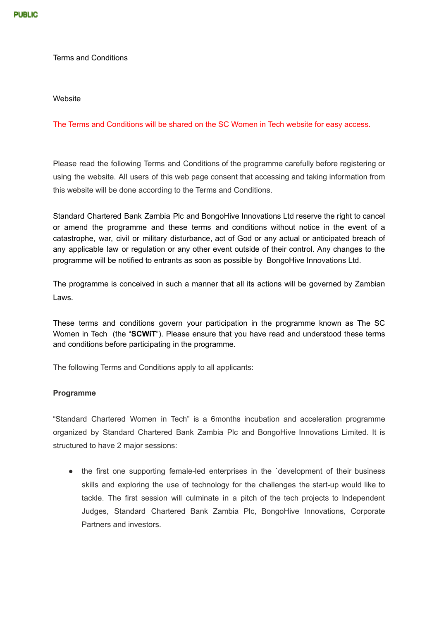Terms and Conditions

#### Website

## The Terms and Conditions will be shared on the SC Women in Tech website for easy access.

Please read the following Terms and Conditions of the programme carefully before registering or using the website. All users of this web page consent that accessing and taking information from this website will be done according to the Terms and Conditions.

Standard Chartered Bank Zambia Plc and BongoHive Innovations Ltd reserve the right to cancel or amend the programme and these terms and conditions without notice in the event of a catastrophe, war, civil or military disturbance, act of God or any actual or anticipated breach of any applicable law or regulation or any other event outside of their control. Any changes to the programme will be notified to entrants as soon as possible by BongoHive Innovations Ltd.

The programme is conceived in such a manner that all its actions will be governed by Zambian Laws.

These terms and conditions govern your participation in the programme known as The SC Women in Tech (the "**SCWiT**"). Please ensure that you have read and understood these terms and conditions before participating in the programme.

The following Terms and Conditions apply to all applicants:

## **Programme**

"Standard Chartered Women in Tech" is a 6months incubation and acceleration programme organized by Standard Chartered Bank Zambia Plc and BongoHive Innovations Limited. It is structured to have 2 major sessions:

• the first one supporting female-led enterprises in the 'development of their business skills and exploring the use of technology for the challenges the start-up would like to tackle. The first session will culminate in a pitch of the tech projects to Independent Judges, Standard Chartered Bank Zambia Plc, BongoHive Innovations, Corporate Partners and investors.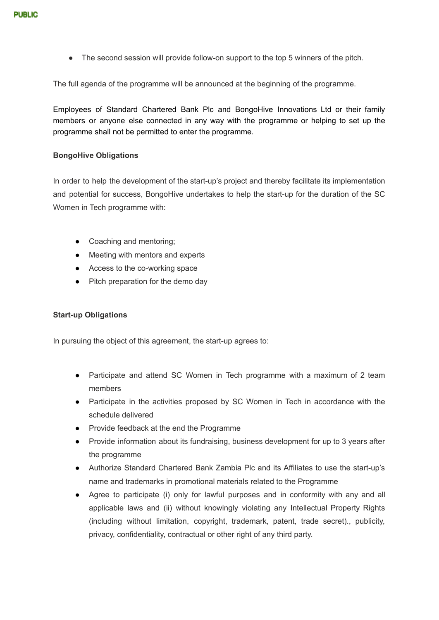• The second session will provide follow-on support to the top 5 winners of the pitch.

The full agenda of the programme will be announced at the beginning of the programme.

Employees of Standard Chartered Bank Plc and BongoHive Innovations Ltd or their family members or anyone else connected in any way with the programme or helping to set up the programme shall not be permitted to enter the programme.

#### **BongoHive Obligations**

In order to help the development of the start-up's project and thereby facilitate its implementation and potential for success, BongoHive undertakes to help the start-up for the duration of the SC Women in Tech programme with:

- Coaching and mentoring;
- Meeting with mentors and experts
- Access to the co-working space
- Pitch preparation for the demo day

## **Start-up Obligations**

In pursuing the object of this agreement, the start-up agrees to:

- Participate and attend SC Women in Tech programme with a maximum of 2 team members
- Participate in the activities proposed by SC Women in Tech in accordance with the schedule delivered
- Provide feedback at the end the Programme
- Provide information about its fundraising, business development for up to 3 years after the programme
- Authorize Standard Chartered Bank Zambia Plc and its Affiliates to use the start-up's name and trademarks in promotional materials related to the Programme
- Agree to participate (i) only for lawful purposes and in conformity with any and all applicable laws and (ii) without knowingly violating any Intellectual Property Rights (including without limitation, copyright, trademark, patent, trade secret)., publicity, privacy, confidentiality, contractual or other right of any third party.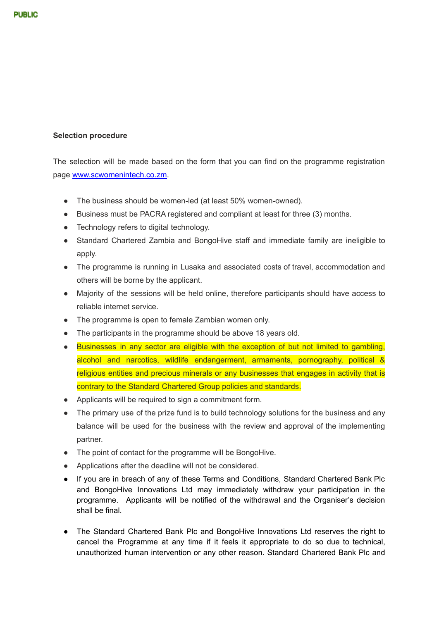# **Selection procedure**

The selection will be made based on the form that you can find on the programme registration page [www.scwomenintech.co.zm.](http://www.scwomenintech.co.zm)

- The business should be women-led (at least 50% women-owned).
- Business must be PACRA registered and compliant at least for three (3) months.
- Technology refers to digital technology.
- Standard Chartered Zambia and BongoHive staff and immediate family are ineligible to apply.
- The programme is running in Lusaka and associated costs of travel, accommodation and others will be borne by the applicant.
- Majority of the sessions will be held online, therefore participants should have access to reliable internet service.
- The programme is open to female Zambian women only.
- The participants in the programme should be above 18 years old.
- Businesses in any sector are eligible with the exception of but not limited to gambling, alcohol and narcotics, wildlife endangerment, armaments, pornography, political & religious entities and precious minerals or any businesses that engages in activity that is contrary to the Standard Chartered Group policies and standards.
- Applicants will be required to sign a commitment form.
- The primary use of the prize fund is to build technology solutions for the business and any balance will be used for the business with the review and approval of the implementing partner.
- The point of contact for the programme will be BongoHive.
- Applications after the deadline will not be considered.
- If you are in breach of any of these Terms and Conditions, Standard Chartered Bank Plc and BongoHive Innovations Ltd may immediately withdraw your participation in the programme. Applicants will be notified of the withdrawal and the Organiser's decision shall be final.
- The Standard Chartered Bank Plc and BongoHive Innovations Ltd reserves the right to cancel the Programme at any time if it feels it appropriate to do so due to technical, unauthorized human intervention or any other reason. Standard Chartered Bank Plc and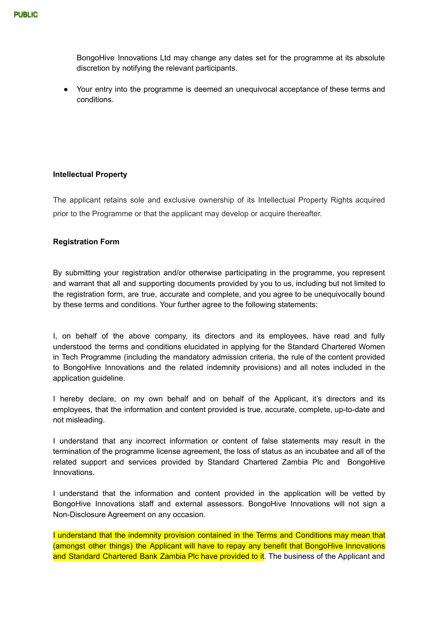BongoHive Innovations Ltd may change any dates set for the programme at its absolute discretion by notifying the relevant participants.

● Your entry into the programme is deemed an unequivocal acceptance of these terms and conditions.

## **Intellectual Property**

The applicant retains sole and exclusive ownership of its Intellectual Property Rights acquired prior to the Programme or that the applicant may develop or acquire thereafter.

#### **Registration Form**

By submitting your registration and/or otherwise participating in the programme, you represent and warrant that all and supporting documents provided by you to us, including but not limited to the registration form, are true, accurate and complete, and you agree to be unequivocally bound by these terms and conditions. Your further agree to the following statements:

I, on behalf of the above company, its directors and its employees, have read and fully understood the terms and conditions elucidated in applying for the Standard Chartered Women in Tech Programme (including the mandatory admission criteria, the rule of the content provided to BongoHive Innovations and the related indemnity provisions) and all notes included in the application guideline.

I hereby declare, on my own behalf and on behalf of the Applicant, it's directors and its employees, that the information and content provided is true, accurate, complete, up-to-date and not misleading.

I understand that any incorrect information or content of false statements may result in the termination of the programme license agreement, the loss of status as an incubatee and all of the related support and services provided by Standard Chartered Zambia Plc and BongoHive Innovations.

I understand that the information and content provided in the application will be vetted by BongoHive Innovations staff and external assessors. BongoHive Innovations will not sign a Non-Disclosure Agreement on any occasion.

I understand that the indemnity provision contained in the Terms and Conditions may mean that (amongst other things) the Applicant will have to repay any benefit that BongoHive Innovations and Standard Chartered Bank Zambia Plc have provided to it. The business of the Applicant and